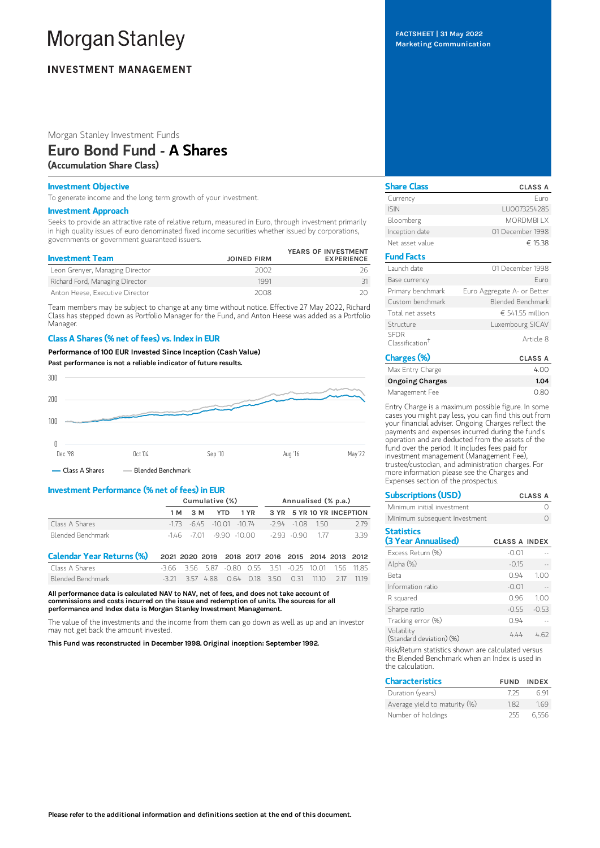# **Morgan Stanley**

# **INVESTMENT MANAGEMENT**

# Morgan Stanley Investment Funds

# Euro Bond Fund - A Shares

(Accumulation Share Class)

### Investment Objective

To generate income and the long term growth of your investment.

#### Investment Approach

Seeks to provide an attractive rate of relative return, measured in Euro, through investment primarily in high quality issues of euro denominated fixed income securities whether issued by corporations, governments or government guaranteed issuers.

| <b>Investment Team</b>          | <b>JOINED FIRM</b> | YEARS OF INVESTMENT<br><b>EXPERIENCE</b> |
|---------------------------------|--------------------|------------------------------------------|
| Leon Grenyer, Managing Director | 2002               |                                          |
| Richard Ford, Managing Director | 1991               |                                          |
| Anton Heese, Executive Director | 2008               |                                          |

Team members may be subject to change at any time without notice. Effective 27 May 2022, Richard Class has stepped down as Portfolio Manager for the Fund, and Anton Heese was added as a Portfolio Manager.

### Class A Shares (% net of fees) vs. Index in EUR

Performance of 100 EUR Invested Since Inception (Cash Value)



# Investment Performance (% net of fees) in EUR

|                   | Cumulative (%) |     |                            |  | Annualised (% p.a.) |  |                                |  |
|-------------------|----------------|-----|----------------------------|--|---------------------|--|--------------------------------|--|
|                   | 1 M 3 M        | YTD |                            |  |                     |  | 1 YR 3 YR 5 YR 10 YR INCEPTION |  |
| Class A Shares    |                |     | $-173 - 645 - 1001 - 1074$ |  | -294 -108 150       |  | 2.79                           |  |
| Blended Benchmark |                |     | $-146 - 701 - 990 - 1000$  |  | $-293 - 090$ 177    |  | 339                            |  |

| Calendar Year Returns (%) 2021 2020 2019 2018 2017 2016 2015 2014 2013 2012 |  |                                                        |  |  |  |
|-----------------------------------------------------------------------------|--|--------------------------------------------------------|--|--|--|
| Class A Shares                                                              |  | -3.66 3.56 5.87 -0.80 0.55 3.51 -0.25 10.01 1.56 11.85 |  |  |  |
| Blended Benchmark                                                           |  | -3.21 3.57 4.88 0.64 0.18 3.50 0.31 11.10 2.17 11.19   |  |  |  |

All performance data is calculated NAV to NAV, net of fees, and does not take account of commissions and costs incurred on the issue and redemption of units. The sources for all performance and Index data is Morgan Stanley Investment Management.

The value of the investments and the income from them can go down as well as up and an investor may not get back the amount invested.

This Fund was reconstructed in December 1998. Original inception: September 1992.

FACTSHEET | 31 May 2022 Marketing Communication

Share Class CLASS A Currency **Euro** ISIN LU0073254285 Bloomberg MORDMBI LX Inception date 01 December 1998 Net asset value  $\epsilon$  15.38 Fund Facts Launch date 01 December 1998 Base currency experience of the Euro Primary benchmark Euro Aggregate A- or Better Custom benchmark Blended Benchmark Total net assets  $6541.55$  million Structure Luxembourg SICAV SFDR Classification †Article 8

| Charges (%)            | <b>CLASS A</b> |
|------------------------|----------------|
| Max Entry Charge       | 4.00           |
| <b>Ongoing Charges</b> | 1.04           |
| Management Fee         | 0.80           |

Entry Charge is a maximum possible figure. In some cases you might pay less, you can find this out from your financial adviser. Ongoing Charges reflect the payments and expenses incurred during the fund's operation and are deducted from the assets of the fund over the period. It includes fees paid for investment management (Management Fee), trustee/custodian, and administration charges. For more information please see the Charges and Expenses section of the prospectus.

| <b>Subscriptions (USD)</b>                         |                      | <b>CLASS A</b> |
|----------------------------------------------------|----------------------|----------------|
| Minimum initial investment                         |                      |                |
| Minimum subsequent Investment                      |                      |                |
| <b>Statistics</b><br>(3 Year Annualised)           | <b>CLASS A INDEX</b> |                |
| Excess Return (%)                                  | $-0.01$              |                |
| Alpha (%)                                          | $-0.15$              |                |
| Beta                                               | 0.94                 | 1.00           |
| Information ratio                                  | $-0.01$              |                |
| R squared                                          | 0.96                 | 1.00           |
| Sharpe ratio                                       | $-0.55$              | $-0.53$        |
| Tracking error (%)                                 | 0.94                 |                |
| Volatility<br>(Standard deviation) (%)             | 444                  | 4.62           |
| Risk/Return statistics shown are calculated versus |                      |                |

the Blended Benchmark when an Index is used in the calculation.

| <b>Characteristics</b>        |     | FUND INDEX |
|-------------------------------|-----|------------|
| Duration (years)              | 725 | 691        |
| Average yield to maturity (%) | 182 | 169        |
| Number of holdings            | 255 | 6.556      |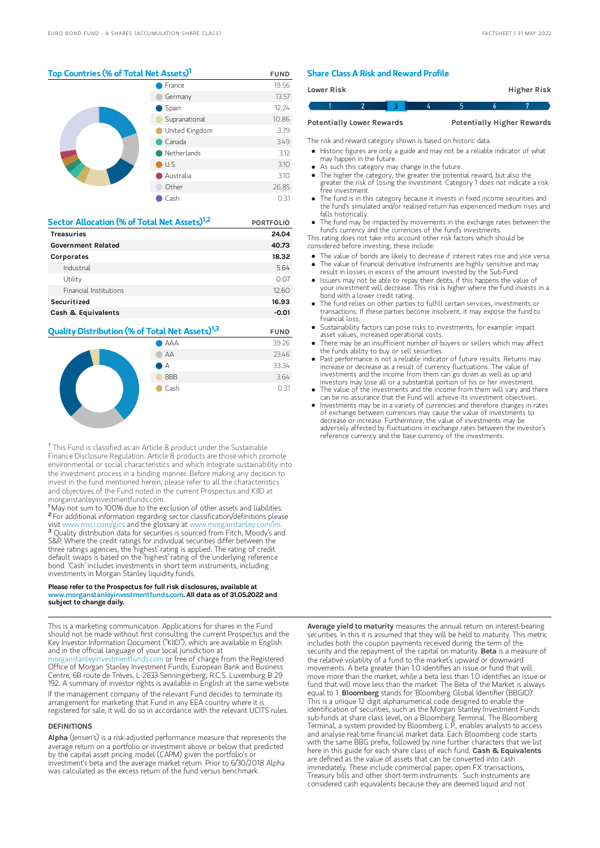# Top Countries (% of Total Net Assets)<sup>1</sup> FUND

|  | France          | 19.56         |       |
|--|-----------------|---------------|-------|
|  | Germany         | 13.57         |       |
|  | $\bullet$ Spain | 12.24         |       |
|  |                 | Supranational | 10.86 |
|  | United Kingdom  | 3.79          |       |
|  | Canada          | 3.49          |       |
|  | Netherlands     | 3.12          |       |
|  |                 | U.S.          | 3.10  |
|  | Australia       | 3.10          |       |
|  | Other           | 26.85         |       |
|  | Cash            | 0.31          |       |
|  |                 |               |       |

| Sector Allocation (% of Total Net Assets) <sup>1,2</sup> | <b>PORTFOLIO</b> |
|----------------------------------------------------------|------------------|
| <b>Treasuries</b>                                        | 24.04            |
| <b>Government Related</b>                                | 40.73            |
| Corporates                                               | 18.32            |
| Industrial                                               | 5.64             |
| Utility                                                  | 0.07             |
| Financial Institutions                                   | 12.60            |
| Securitized                                              | 16.93            |
| Cash & Equivalents                                       | $-0.01$          |
|                                                          |                  |

# **Quality Distribution (% of Total Net Assets)<sup>1,3</sup> FUND**



<sup>†</sup> This Fund is classified as an Article 8 product under the Sustainable Finance Disclosure Regulation. Article 8 products are those which promote environmental or social characteristics and which integrate sustainability into the investment process in a binding manner. Before making any decision to invest in the fund mentioned herein, please refer to all the characteristics and objectives of the Fund noted in the current Prospectus and KIID at morganstanleyinvestmentfunds.com.

 $1$ May not sum to 100% due to the exclusion of other assets and liabilities. <sup>2</sup> For additional information regarding sector classification/definitions please visit www.msci.com/gics and the glossary at www.morganstanl <sup>3</sup> Quality distribution data for securities is sourced from Fitch, Moody's and S&P. Where the credit ratings for individual securities differ between the three ratings agencies, the 'highest' rating is applied. The rating of credit default swaps is based on the 'highest' rating of the underlying reference bond. 'Cash' includes investments in short term instruments, including investments in Morgan Stanley liquidity funds.

#### Please refer to the Prospectus for full risk disclosures, available at anstanleyinvestmentfunds.com. All data as of 31.05.2022 and subject to change daily.

This is a marketing communication. Applications for shares in the Fund should not be made without first consulting the current Prospectus and the Key Investor Information Document ("KIID"), which are available in English and in the official language of your local jurisdiction at [morganstanleyinvestmentfunds.com](https://www.morganstanley.com/im/msinvf/index.html) or free of charge from the Registered Office of Morgan Stanley Investment Funds, European Bank and Business Centre, 6B route de Trèves, L-2633 Senningerberg, R.C.S. Luxemburg B 29 192. A summary of investor rights is available in English at the same website. If the management company of the relevant Fund decides to terminate its arrangement for marketing that Fund in any EEA country where it is registered for sale, it will do so in accordance with the relevant UCITS rules.

# DEFINITIONS

Alpha (Jensen's) is a risk-adjusted performance measure that represents the average return on a portfolio or investment above or below that predicted by the capital asset pricing model (CAPM) given the portfolio's or investment's beta and the average market return. Prior to 6/30/2018 Alpha was calculated as the excess return of the fund versus benchmark

#### Share Class A Risk and Reward Profile

| Lower Risk                       |  |  |   |                                   | Higher Risk |
|----------------------------------|--|--|---|-----------------------------------|-------------|
|                                  |  |  | 4 | h                                 |             |
| <b>Potentially Lower Rewards</b> |  |  |   | <b>Potentially Higher Rewards</b> |             |

The risk and reward category shown is based on historic data.

- Historic figures are only a guide and may not be a reliable indicator of what may happen in the future.
- As such this category may change in the future.
- The higher the category, the greater the potential reward, but also the greater the risk of losing the investment. Category 1 does not indicate a risk free investment.
- The fund is in this category because it invests in fixed income securities and the fund's simulated and/or realised return has experienced medium rises and falls historically.
- The fund may be impacted by movements in the exchange rates between the fund's currency and the currencies of the fund's investments.

This rating does not take into account other risk factors which should be considered before investing, these include:

- The value of bonds are likely to decrease if interest rates rise and vice versa.  $\bullet$
- The value of financial derivative instruments are highly sensitive and may result in losses in excess of the amount invested by the Sub-Fund. Issuers may not be able to repay their debts, if this happens the value of
- your investment will decrease. This risk is higher where the fund invests in a bond with a lower credit rating.
- The fund relies on other parties to fulfill certain services, investments or transactions. If these parties become insolvent, it may expose the fund to financial loss.
- Sustainability factors can pose risks to investments, for example: impact asset values, increased operational costs.
- There may be an insufficient number of buyers or sellers which may affect the funds ability to buy or sell securities.
- Past performance is not a reliable indicator of future results. Returns may increase or decrease as a result of currency fluctuations. The value of investments and the income from them can go down as well as up and investors may lose all or a substantial portion of his or her investment.
- The value of the investments and the income from them will vary and the can be no assurance that the Fund will achieve its investment objectives.
- Investments may be in a variety of currencies and therefore changes in rates of exchange between currencies may cause the value of investments to decrease or increase. Furthermore, the value of investments may be adversely affected by fluctuations in exchange rates between the investor's reference currency and the base currency of the investments.

Average yield to maturity measures the annual return on interest-bearing securities. In this it is assumed that they will be held to maturity. This metric includes both the coupon payments received during the term of the security and the repayment of the capital on maturity. Beta is a measure of the relative volatility of a fund to the market's upward or downward movements. A beta greater than 1.0 identifies an issue or fund that will move more than the market, while a beta less than 1.0 identifies an issue or fund that will move less than the market. The Beta of the Market is always equal to 1. Bloomberg stands for 'Bloomberg Global Identifier (BBGID)'. This is a unique 12 digit alphanumerical code designed to enable the identification of securities, such as the Morgan Stanley Investment Funds sub-funds at share class level, on a Bloomberg Terminal. The Bloomberg Terminal, a system provided by Bloomberg L.P., enables analysts to access and analyse real-time financial market data. Each Bloomberg code starts with the same BBG prefix, followed by nine further characters that we list here in this guide for each share class of each fund. Cash & Equivalents are defined as the value of assets that can be converted into cash immediately. These include commercial paper, open FX transactions, Treasury bills and other short-term instruments. Such instruments are considered cash equivalents because they are deemed liquid and not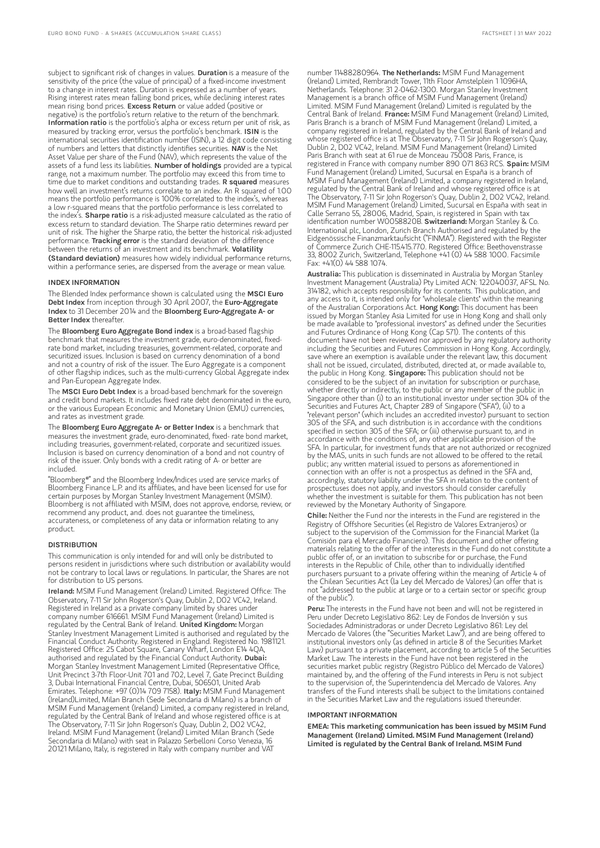subject to significant risk of changes in values. Duration is a measure of the sensitivity of the price (the value of principal) of a fixed-income investment to a change in interest rates. Duration is expressed as a number of years. Rising interest rates mean falling bond prices, while declining interest rates mean rising bond prices. Excess Return or value added (positive or negative) is the portfolio's return relative to the return of the benchmark. Information ratio is the portfolio's alpha or excess return per unit of risk, as measured by tracking error, versus the portfolio's benchmark. ISIN is the international securities identification number (ISIN), a 12 digit code consisting of numbers and letters that distinctly identifies securities. NAV is the Net Asset Value per share of the Fund (NAV), which represents the value of the assets of a fund less its liabilities. Number of holdings provided are a typical range, not a maximum number. The portfolio may exceed this from time to time due to market conditions and outstanding trades. R squared measures how well an investment's returns correlate to an index. An R squared of 1.00 means the portfolio performance is 100% correlated to the index's, whereas a low r-squared means that the portfolio performance is less correlated to the index's. Sharpe ratio is a risk-adjusted measure calculated as the ratio of excess return to standard deviation. The Sharpe ratio determines reward per unit of risk. The higher the Sharpe ratio, the better the historical risk-adjusted performance. Tracking error is the standard deviation of the difference between the returns of an investment and its benchmark. Volatility (Standard deviation) measures how widely individual performance returns, within a performance series, are dispersed from the average or mean value.

#### INDEX INFORMATION

The Blended Index performance shown is calculated using the MSCI Euro Debt Index from inception through 30 April 2007, the Euro-Aggregate Index to 31 December 2014 and the Bloomberg Euro-Aggregate A- or Better Index thereafter.

The Bloomberg Euro Aggregate Bond index is a broad-based flagship benchmark that measures the investment grade, euro-denominated, fixedrate bond market, including treasuries, government-related, corporate and securitized issues. Inclusion is based on currency denomination of a bond and not a country of risk of the issuer. The Euro Aggregate is a component of other flagship indices, such as the multi-currency Global Aggregate index and Pan-European Aggregate Index.

The MSCI Euro Debt Index is a broad-based benchmark for the sovereign and credit bond markets. It includes fixed rate debt denominated in the euro, or the various European Economic and Monetary Union (EMU) currencies, and rates as investment grade.

The Bloomberg Euro Aggregate A- or Better Index is a benchmark that measures the investment grade, euro-denominated, fixed- rate bond market, including treasuries, government-related, corporate and securitized issues. Inclusion is based on currency denomination of a bond and not country of risk of the issuer. Only bonds with a credit rating of A- or better are included.

"Bloomberg®" and the Bloomberg Index/Indices used are service marks of Bloomberg Finance L.P. and its affiliates, and have been licensed for use for certain purposes by Morgan Stanley Investment Management (MSIM). Bloomberg is not affiliated with MSIM, does not approve, endorse, review, or recommend any product, and. does not guarantee the timeliness, accurateness, or completeness of any data or information relating to any product.

#### DISTRIBUTION

This communication is only intended for and will only be distributed to persons resident in jurisdictions where such distribution or availability would not be contrary to local laws or regulations. In particular, the Shares are not for distribution to US persons.

Ireland: MSIM Fund Management (Ireland) Limited. Registered Office: The Observatory, 7-11 Sir John Rogerson's Quay, Dublin 2, D02 VC42, Ireland. Registered in Ireland as a private company limited by shares under company number 616661. MSIM Fund Management (Ireland) Limited is regulated by the Central Bank of Ireland. United Kingdom: Morgan Stanley Investment Management Limited is authorised and regulated by the Financial Conduct Authority. Registered in England. Registered No. 1981121. Registered Office: 25 Cabot Square, Canary Wharf, London E14 4QA, authorised and regulated by the Financial Conduct Authority. Dubai: Morgan Stanley Investment Management Limited (Representative Office, Unit Precinct 3-7th Floor-Unit 701 and 702, Level 7, Gate Precinct Building 3, Dubai International Financial Centre, Dubai, 506501, United Arab Emirates. Telephone: +97 (0)14 709 7158). Italy: MSIM Fund Management (Ireland)Limited, Milan Branch (Sede Secondaria di Milano) is a branch of MSIM Fund Management (Ireland) Limited, a company registered in Ireland, regulated by the Central Bank of Ireland and whose registered office is at The Observatory, 7-11 Sir John Rogerson's Quay, Dublin 2, D02 VC42, Ireland. MSIM Fund Management (Ireland) Limited Milan Branch (Sede Secondaria di Milano) with seat in Palazzo Serbelloni Corso Venezia, 16 20121 Milano, Italy, is registered in Italy with company number and VAT

number 11488280964. The Netherlands: MSIM Fund Management (Ireland) Limited, Rembrandt Tower, 11th Floor Amstelplein 1 1096HA, Netherlands. Telephone: 31 2-0462-1300. Morgan Stanley Investment Management is a branch office of MSIM Fund Management (Ireland) Limited. MSIM Fund Management (Ireland) Limited is regulated by the Central Bank of Ireland. France: MSIM Fund Management (Ireland) Limited, Paris Branch is a branch of MSIM Fund Management (Ireland) Limited, a company registered in Ireland, regulated by the Central Bank of Ireland and whose registered office is at The Observatory, 7-11 Sir John Rogerson's Quay, Dublin 2, D02 VC42, Ireland. MSIM Fund Management (Ireland) Limited Paris Branch with seat at 61 rue de Monceau 75008 Paris, France, is registered in France with company number 890 071 863 RCS. Spain: MSIM Fund Management (Ireland) Limited, Sucursal en España is a branch of MSIM Fund Management (Ireland) Limited, a company registered in Ireland, regulated by the Central Bank of Ireland and whose registered office is at The Observatory, 7-11 Sir John Rogerson's Quay, Dublin 2, D02 VC42, Ireland. MSIM Fund Management (Ireland) Limited, Sucursal en España with seat in Calle Serrano 55, 28006, Madrid, Spain, is registered in Spain with tax identification number W0058820B. Switzerland: Morgan Stanley & Co. International plc, London, Zurich Branch Authorised and regulated by the Eidgenössische Finanzmarktaufsicht ("FINMA"). Registered with the Register of Commerce Zurich CHE-115.415.770. Registered Office: Beethovenstrasse 33, 8002 Zurich, Switzerland, Telephone +41 (0) 44 588 1000. Facsimile Fax: +41(0) 44 588 1074.

Australia: This publication is disseminated in Australia by Morgan Stanley Investment Management (Australia) Pty Limited ACN: 122040037, AFSL No. 314182, which accepts responsibility for its contents. This publication, and any access to it, is intended only for "wholesale clients" within the meaning of the Australian Corporations Act. Hong Kong: This document has been issued by Morgan Stanley Asia Limited for use in Hong Kong and shall only be made available to "professional investors" as defined under the Securities and Futures Ordinance of Hong Kong (Cap 571). The contents of this document have not been reviewed nor approved by any regulatory authority including the Securities and Futures Commission in Hong Kong. Accordingly, save where an exemption is available under the relevant law, this document shall not be issued, circulated, distributed, directed at, or made available to, the public in Hong Kong. Singapore: This publication should not be considered to be the subject of an invitation for subscription or purchase, whether directly or indirectly, to the public or any member of the public in Singapore other than (i) to an institutional investor under section 304 of the Securities and Futures Act, Chapter 289 of Singapore ("SFA"), (ii) to a "relevant person" (which includes an accredited investor) pursuant to section 305 of the SFA, and such distribution is in accordance with the conditions specified in section 305 of the SFA; or (iii) otherwise pursuant to, and in accordance with the conditions of, any other applicable provision of the SFA. In particular, for investment funds that are not authorized or recognized by the MAS, units in such funds are not allowed to be offered to the retail public; any written material issued to persons as aforementioned in connection with an offer is not a prospectus as defined in the SFA and, accordingly, statutory liability under the SFA in relation to the content of prospectuses does not apply, and investors should consider carefully whether the investment is suitable for them. This publication has not been reviewed by the Monetary Authority of Singapore.

Chile: Neither the Fund nor the interests in the Fund are registered in the Registry of Offshore Securities (el Registro de Valores Extranjeros) or subject to the supervision of the Commission for the Financial Market (la Comisión para el Mercado Financiero). This document and other offering materials relating to the offer of the interests in the Fund do not constitute a public offer of, or an invitation to subscribe for or purchase, the Fund interests in the Republic of Chile, other than to individually identified purchasers pursuant to a private offering within the meaning of Article 4 of the Chilean Securities Act (la Ley del Mercado de Valores) (an offer that is not "addressed to the public at large or to a certain sector or specific group of the public").

Peru: The interests in the Fund have not been and will not be registered in Peru under Decreto Legislativo 862: Ley de Fondos de Inversión y sus Sociedades Administradoras or under Decreto Legislativo 861: Ley del Mercado de Valores (the "Securities Market Law"), and are being offered to institutional investors only (as defined in article 8 of the Securities Market Law) pursuant to a private placement, according to article 5 of the Securities Market Law. The interests in the Fund have not been registered in the securities market public registry (Registro Público del Mercado de Valores) maintained by, and the offering of the Fund interests in Peru is not subject to the supervision of, the Superintendencia del Mercado de Valores. Any transfers of the Fund interests shall be subject to the limitations contained in the Securities Market Law and the regulations issued thereunder.

#### IMPORTANT INFORMATION

EMEA: This marketing communication has been issued by MSIM Fund Management (Ireland) Limited. MSIM Fund Management (Ireland) Limited is regulated by the Central Bank of Ireland. MSIM Fund